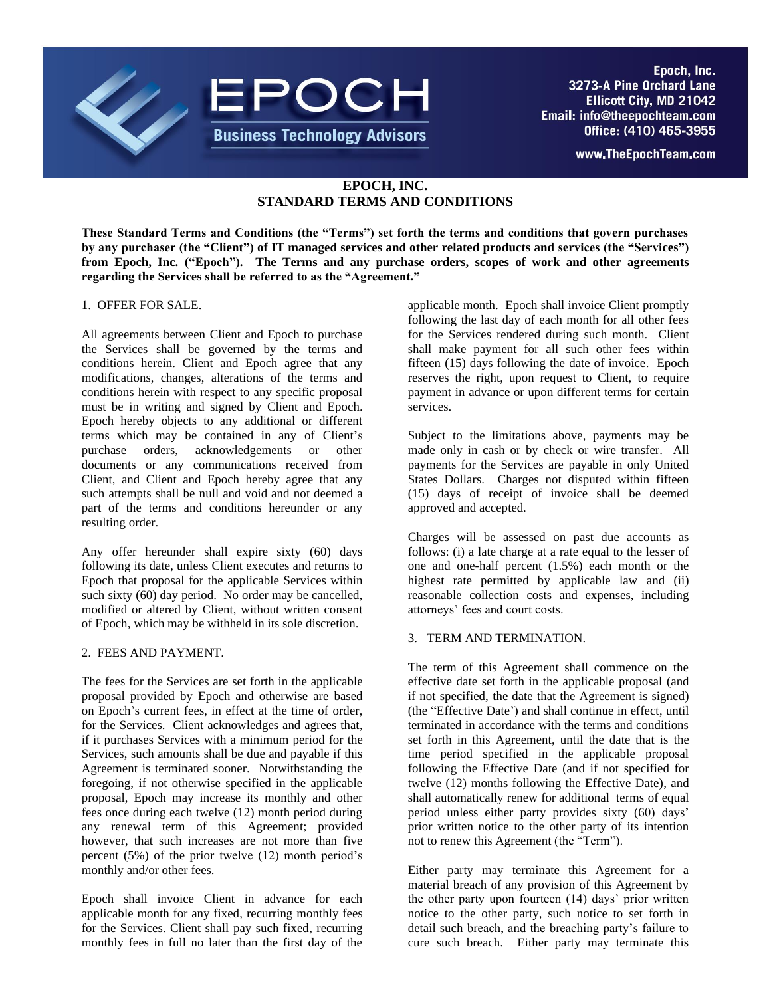

www.TheEpochTeam.com

# **EPOCH, INC. STANDARD TERMS AND CONDITIONS**

**These Standard Terms and Conditions (the "Terms") set forth the terms and conditions that govern purchases by any purchaser (the "Client") of IT managed services and other related products and services (the "Services") from Epoch, Inc. ("Epoch"). The Terms and any purchase orders, scopes of work and other agreements regarding the Services shall be referred to as the "Agreement."** 

#### 1. OFFER FOR SALE.

All agreements between Client and Epoch to purchase the Services shall be governed by the terms and conditions herein. Client and Epoch agree that any modifications, changes, alterations of the terms and conditions herein with respect to any specific proposal must be in writing and signed by Client and Epoch. Epoch hereby objects to any additional or different terms which may be contained in any of Client's purchase orders, acknowledgements or other documents or any communications received from Client, and Client and Epoch hereby agree that any such attempts shall be null and void and not deemed a part of the terms and conditions hereunder or any resulting order.

Any offer hereunder shall expire sixty (60) days following its date, unless Client executes and returns to Epoch that proposal for the applicable Services within such sixty (60) day period. No order may be cancelled, modified or altered by Client, without written consent of Epoch, which may be withheld in its sole discretion.

#### 2. FEES AND PAYMENT.

The fees for the Services are set forth in the applicable proposal provided by Epoch and otherwise are based on Epoch's current fees, in effect at the time of order, for the Services. Client acknowledges and agrees that, if it purchases Services with a minimum period for the Services, such amounts shall be due and payable if this Agreement is terminated sooner. Notwithstanding the foregoing, if not otherwise specified in the applicable proposal, Epoch may increase its monthly and other fees once during each twelve (12) month period during any renewal term of this Agreement; provided however, that such increases are not more than five percent (5%) of the prior twelve (12) month period's monthly and/or other fees.

Epoch shall invoice Client in advance for each applicable month for any fixed, recurring monthly fees for the Services. Client shall pay such fixed, recurring monthly fees in full no later than the first day of the

applicable month. Epoch shall invoice Client promptly following the last day of each month for all other fees for the Services rendered during such month. Client shall make payment for all such other fees within fifteen (15) days following the date of invoice. Epoch reserves the right, upon request to Client, to require payment in advance or upon different terms for certain services.

Subject to the limitations above, payments may be made only in cash or by check or wire transfer. All payments for the Services are payable in only United States Dollars. Charges not disputed within fifteen (15) days of receipt of invoice shall be deemed approved and accepted.

Charges will be assessed on past due accounts as follows: (i) a late charge at a rate equal to the lesser of one and one-half percent (1.5%) each month or the highest rate permitted by applicable law and (ii) reasonable collection costs and expenses, including attorneys' fees and court costs.

#### 3. TERM AND TERMINATION.

The term of this Agreement shall commence on the effective date set forth in the applicable proposal (and if not specified, the date that the Agreement is signed) (the "Effective Date') and shall continue in effect, until terminated in accordance with the terms and conditions set forth in this Agreement, until the date that is the time period specified in the applicable proposal following the Effective Date (and if not specified for twelve (12) months following the Effective Date), and shall automatically renew for additional terms of equal period unless either party provides sixty (60) days' prior written notice to the other party of its intention not to renew this Agreement (the "Term").

Either party may terminate this Agreement for a material breach of any provision of this Agreement by the other party upon fourteen (14) days' prior written notice to the other party, such notice to set forth in detail such breach, and the breaching party's failure to cure such breach. Either party may terminate this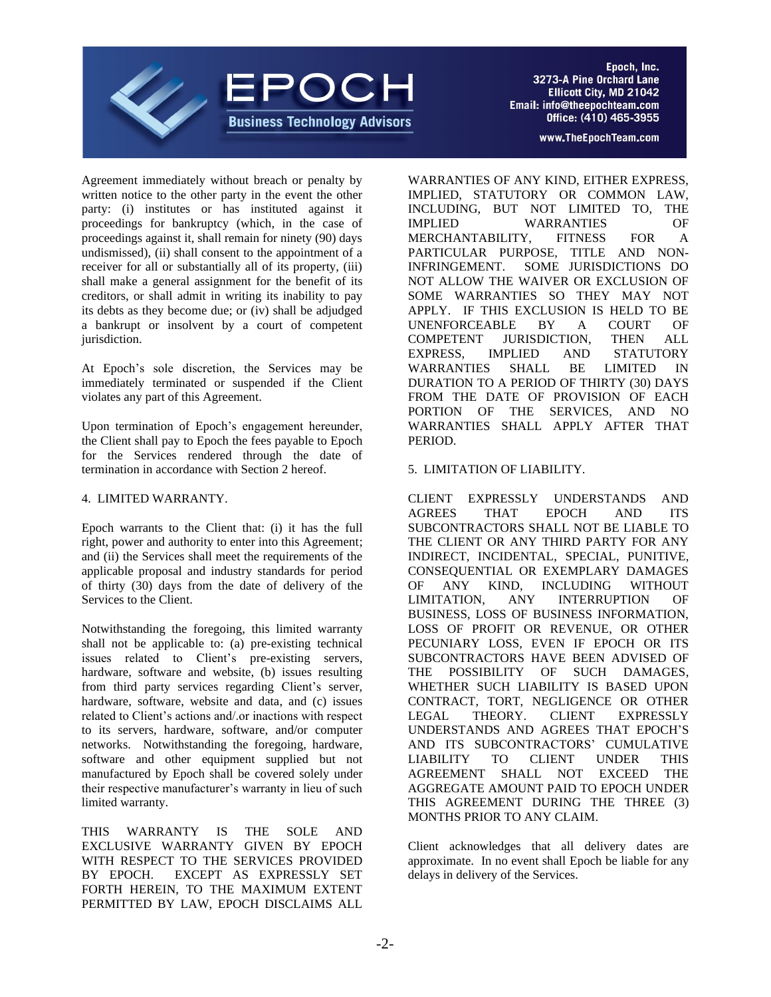

Agreement immediately without breach or penalty by written notice to the other party in the event the other party: (i) institutes or has instituted against it proceedings for bankruptcy (which, in the case of proceedings against it, shall remain for ninety (90) days undismissed), (ii) shall consent to the appointment of a receiver for all or substantially all of its property, (iii) shall make a general assignment for the benefit of its creditors, or shall admit in writing its inability to pay its debts as they become due; or (iv) shall be adjudged a bankrupt or insolvent by a court of competent jurisdiction.

At Epoch's sole discretion, the Services may be immediately terminated or suspended if the Client violates any part of this Agreement.

Upon termination of Epoch's engagement hereunder, the Client shall pay to Epoch the fees payable to Epoch for the Services rendered through the date of termination in accordance with Section 2 hereof.

#### 4. LIMITED WARRANTY.

Epoch warrants to the Client that: (i) it has the full right, power and authority to enter into this Agreement; and (ii) the Services shall meet the requirements of the applicable proposal and industry standards for period of thirty (30) days from the date of delivery of the Services to the Client.

Notwithstanding the foregoing, this limited warranty shall not be applicable to: (a) pre-existing technical issues related to Client's pre-existing servers, hardware, software and website, (b) issues resulting from third party services regarding Client's server, hardware, software, website and data, and (c) issues related to Client's actions and/.or inactions with respect to its servers, hardware, software, and/or computer networks. Notwithstanding the foregoing, hardware, software and other equipment supplied but not manufactured by Epoch shall be covered solely under their respective manufacturer's warranty in lieu of such limited warranty.

THIS WARRANTY IS THE SOLE AND EXCLUSIVE WARRANTY GIVEN BY EPOCH WITH RESPECT TO THE SERVICES PROVIDED BY EPOCH. EXCEPT AS EXPRESSLY SET FORTH HEREIN, TO THE MAXIMUM EXTENT PERMITTED BY LAW, EPOCH DISCLAIMS ALL

WARRANTIES OF ANY KIND, EITHER EXPRESS, IMPLIED, STATUTORY OR COMMON LAW, INCLUDING, BUT NOT LIMITED TO, THE IMPLIED WARRANTIES OF MERCHANTABILITY, FITNESS FOR A PARTICULAR PURPOSE, TITLE AND NON-INFRINGEMENT. SOME JURISDICTIONS DO NOT ALLOW THE WAIVER OR EXCLUSION OF SOME WARRANTIES SO THEY MAY NOT APPLY. IF THIS EXCLUSION IS HELD TO BE UNENFORCEABLE BY A COURT OF COMPETENT JURISDICTION, THEN ALL EXPRESS, IMPLIED AND STATUTORY WARRANTIES SHALL BE LIMITED IN DURATION TO A PERIOD OF THIRTY (30) DAYS FROM THE DATE OF PROVISION OF EACH PORTION OF THE SERVICES, AND NO WARRANTIES SHALL APPLY AFTER THAT PERIOD.

### 5. LIMITATION OF LIABILITY.

CLIENT EXPRESSLY UNDERSTANDS AND AGREES THAT EPOCH AND ITS SUBCONTRACTORS SHALL NOT BE LIABLE TO THE CLIENT OR ANY THIRD PARTY FOR ANY INDIRECT, INCIDENTAL, SPECIAL, PUNITIVE, CONSEQUENTIAL OR EXEMPLARY DAMAGES OF ANY KIND, INCLUDING WITHOUT LIMITATION, ANY INTERRUPTION OF BUSINESS, LOSS OF BUSINESS INFORMATION, LOSS OF PROFIT OR REVENUE, OR OTHER PECUNIARY LOSS, EVEN IF EPOCH OR ITS SUBCONTRACTORS HAVE BEEN ADVISED OF THE POSSIBILITY OF SUCH DAMAGES, WHETHER SUCH LIABILITY IS BASED UPON CONTRACT, TORT, NEGLIGENCE OR OTHER LEGAL THEORY. CLIENT EXPRESSLY UNDERSTANDS AND AGREES THAT EPOCH'S AND ITS SUBCONTRACTORS' CUMULATIVE LIABILITY TO CLIENT UNDER THIS AGREEMENT SHALL NOT EXCEED THE AGGREGATE AMOUNT PAID TO EPOCH UNDER THIS AGREEMENT DURING THE THREE (3) MONTHS PRIOR TO ANY CLAIM.

Client acknowledges that all delivery dates are approximate. In no event shall Epoch be liable for any delays in delivery of the Services.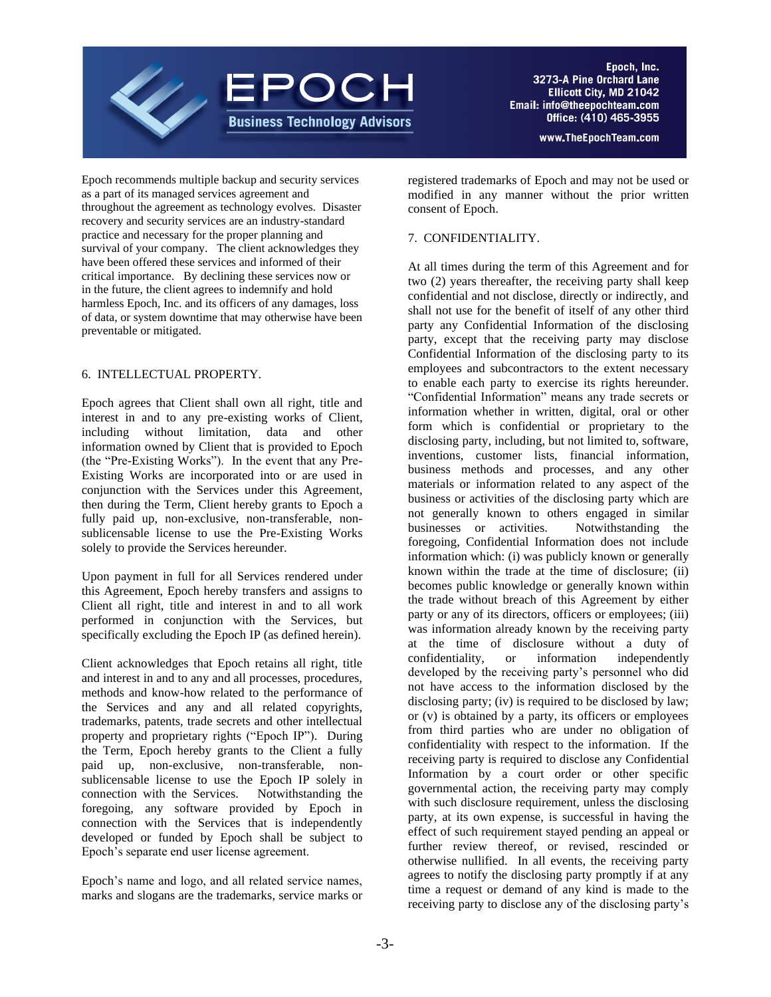

www.TheEpochTeam.com

Epoch recommends multiple backup and security services as a part of its managed services agreement and throughout the agreement as technology evolves. Disaster recovery and security services are an industry-standard practice and necessary for the proper planning and survival of your company. The client acknowledges they have been offered these services and informed of their critical importance. By declining these services now or in the future, the client agrees to indemnify and hold harmless Epoch, Inc. and its officers of any damages, loss of data, or system downtime that may otherwise have been preventable or mitigated.

### 6. INTELLECTUAL PROPERTY.

Epoch agrees that Client shall own all right, title and interest in and to any pre-existing works of Client, including without limitation, data and other information owned by Client that is provided to Epoch (the "Pre-Existing Works"). In the event that any Pre-Existing Works are incorporated into or are used in conjunction with the Services under this Agreement, then during the Term, Client hereby grants to Epoch a fully paid up, non-exclusive, non-transferable, nonsublicensable license to use the Pre-Existing Works solely to provide the Services hereunder.

Upon payment in full for all Services rendered under this Agreement, Epoch hereby transfers and assigns to Client all right, title and interest in and to all work performed in conjunction with the Services, but specifically excluding the Epoch IP (as defined herein).

Client acknowledges that Epoch retains all right, title and interest in and to any and all processes, procedures, methods and know-how related to the performance of the Services and any and all related copyrights, trademarks, patents, trade secrets and other intellectual property and proprietary rights ("Epoch IP"). During the Term, Epoch hereby grants to the Client a fully paid up, non-exclusive, non-transferable, nonsublicensable license to use the Epoch IP solely in connection with the Services. Notwithstanding the foregoing, any software provided by Epoch in connection with the Services that is independently developed or funded by Epoch shall be subject to Epoch's separate end user license agreement.

Epoch's name and logo, and all related service names, marks and slogans are the trademarks, service marks or registered trademarks of Epoch and may not be used or modified in any manner without the prior written consent of Epoch.

## 7. CONFIDENTIALITY.

At all times during the term of this Agreement and for two (2) years thereafter, the receiving party shall keep confidential and not disclose, directly or indirectly, and shall not use for the benefit of itself of any other third party any Confidential Information of the disclosing party, except that the receiving party may disclose Confidential Information of the disclosing party to its employees and subcontractors to the extent necessary to enable each party to exercise its rights hereunder. "Confidential Information" means any trade secrets or information whether in written, digital, oral or other form which is confidential or proprietary to the disclosing party, including, but not limited to, software, inventions, customer lists, financial information, business methods and processes, and any other materials or information related to any aspect of the business or activities of the disclosing party which are not generally known to others engaged in similar businesses or activities. Notwithstanding the foregoing, Confidential Information does not include information which: (i) was publicly known or generally known within the trade at the time of disclosure; (ii) becomes public knowledge or generally known within the trade without breach of this Agreement by either party or any of its directors, officers or employees; (iii) was information already known by the receiving party at the time of disclosure without a duty of confidentiality, or information independently developed by the receiving party's personnel who did not have access to the information disclosed by the disclosing party; (iv) is required to be disclosed by law; or (v) is obtained by a party, its officers or employees from third parties who are under no obligation of confidentiality with respect to the information. If the receiving party is required to disclose any Confidential Information by a court order or other specific governmental action, the receiving party may comply with such disclosure requirement, unless the disclosing party, at its own expense, is successful in having the effect of such requirement stayed pending an appeal or further review thereof, or revised, rescinded or otherwise nullified. In all events, the receiving party agrees to notify the disclosing party promptly if at any time a request or demand of any kind is made to the receiving party to disclose any of the disclosing party's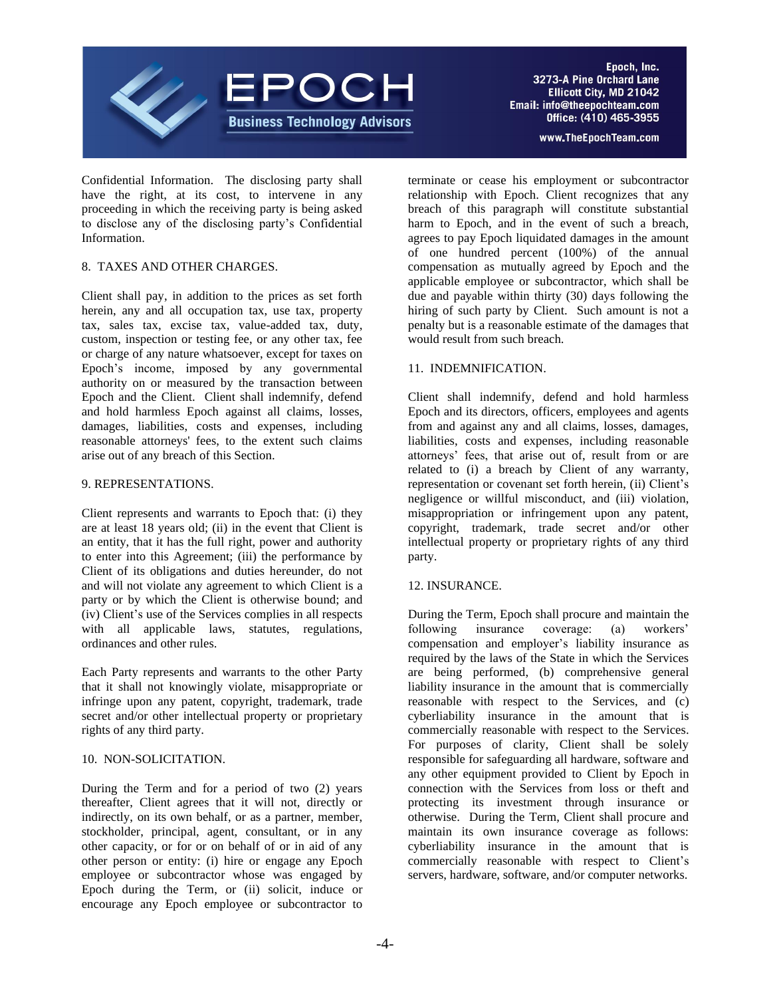

Confidential Information. The disclosing party shall have the right, at its cost, to intervene in any proceeding in which the receiving party is being asked to disclose any of the disclosing party's Confidential Information.

### 8. TAXES AND OTHER CHARGES.

Client shall pay, in addition to the prices as set forth herein, any and all occupation tax, use tax, property tax, sales tax, excise tax, value-added tax, duty, custom, inspection or testing fee, or any other tax, fee or charge of any nature whatsoever, except for taxes on Epoch's income, imposed by any governmental authority on or measured by the transaction between Epoch and the Client. Client shall indemnify, defend and hold harmless Epoch against all claims, losses, damages, liabilities, costs and expenses, including reasonable attorneys' fees, to the extent such claims arise out of any breach of this Section.

### 9. REPRESENTATIONS.

Client represents and warrants to Epoch that: (i) they are at least 18 years old; (ii) in the event that Client is an entity, that it has the full right, power and authority to enter into this Agreement; (iii) the performance by Client of its obligations and duties hereunder, do not and will not violate any agreement to which Client is a party or by which the Client is otherwise bound; and (iv) Client's use of the Services complies in all respects with all applicable laws, statutes, regulations, ordinances and other rules.

Each Party represents and warrants to the other Party that it shall not knowingly violate, misappropriate or infringe upon any patent, copyright, trademark, trade secret and/or other intellectual property or proprietary rights of any third party.

### 10. NON-SOLICITATION.

During the Term and for a period of two (2) years thereafter, Client agrees that it will not, directly or indirectly, on its own behalf, or as a partner, member, stockholder, principal, agent, consultant, or in any other capacity, or for or on behalf of or in aid of any other person or entity: (i) hire or engage any Epoch employee or subcontractor whose was engaged by Epoch during the Term, or (ii) solicit, induce or encourage any Epoch employee or subcontractor to

terminate or cease his employment or subcontractor relationship with Epoch. Client recognizes that any breach of this paragraph will constitute substantial harm to Epoch, and in the event of such a breach, agrees to pay Epoch liquidated damages in the amount of one hundred percent (100%) of the annual compensation as mutually agreed by Epoch and the applicable employee or subcontractor, which shall be due and payable within thirty (30) days following the hiring of such party by Client. Such amount is not a penalty but is a reasonable estimate of the damages that would result from such breach.

### 11. INDEMNIFICATION.

Client shall indemnify, defend and hold harmless Epoch and its directors, officers, employees and agents from and against any and all claims, losses, damages, liabilities, costs and expenses, including reasonable attorneys' fees, that arise out of, result from or are related to (i) a breach by Client of any warranty, representation or covenant set forth herein, (ii) Client's negligence or willful misconduct, and (iii) violation, misappropriation or infringement upon any patent, copyright, trademark, trade secret and/or other intellectual property or proprietary rights of any third party.

### 12. INSURANCE.

During the Term, Epoch shall procure and maintain the following insurance coverage: (a) workers' compensation and employer's liability insurance as required by the laws of the State in which the Services are being performed, (b) comprehensive general liability insurance in the amount that is commercially reasonable with respect to the Services, and (c) cyberliability insurance in the amount that is commercially reasonable with respect to the Services. For purposes of clarity, Client shall be solely responsible for safeguarding all hardware, software and any other equipment provided to Client by Epoch in connection with the Services from loss or theft and protecting its investment through insurance or otherwise. During the Term, Client shall procure and maintain its own insurance coverage as follows: cyberliability insurance in the amount that is commercially reasonable with respect to Client's servers, hardware, software, and/or computer networks.